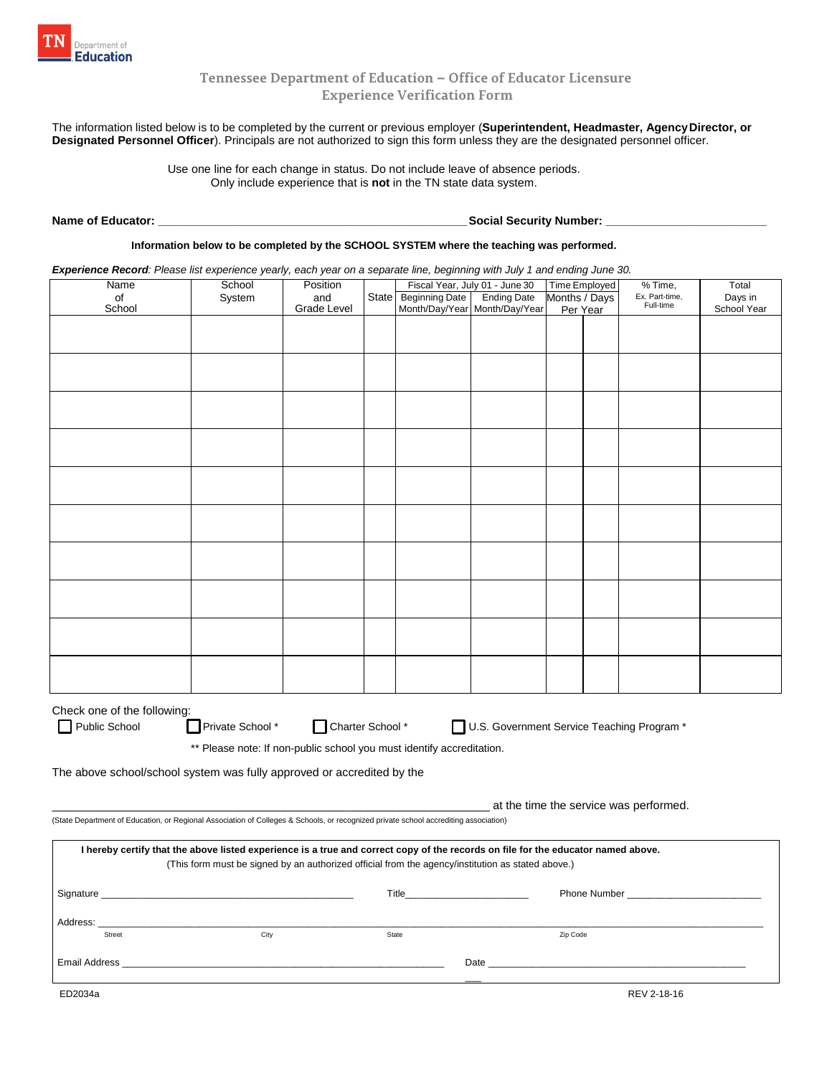

## **Tennessee Department of Education – Office of Educator Licensure Experience Verification Form**

 The information listed below is to be completed by the current or previous employer (**Superintendent, Headmaster, AgencyDirector, or Designated Personnel Officer**). Principals are not authorized to sign this form unless they are the designated personnel officer.

Use one line for each change in status. Do not include leave of absence periods. Only include experience that is **not** in the TN state data system.

**Name of Educator: \_\_\_\_\_\_\_\_\_\_\_\_\_\_\_\_\_\_\_\_\_\_\_\_\_\_\_\_\_\_\_\_\_\_\_\_\_\_\_\_\_\_\_\_\_\_\_\_ Social Security Number: \_\_\_\_\_\_\_\_\_\_\_\_\_\_\_\_\_\_\_\_\_\_\_\_\_** 

**Information below to be completed by the SCHOOL SYSTEM where the teaching was performed.** 

*Experience Record: Please list experience yearly, each year on a separate line, beginning with July 1 and ending June 30.* 

| Name                                                                                                                                 | School                                                                                            | Position    |  |                                        | Fiscal Year, July 01 - June 30 | Time Employed<br>$%$ Time,      |  |           |                  |
|--------------------------------------------------------------------------------------------------------------------------------------|---------------------------------------------------------------------------------------------------|-------------|--|----------------------------------------|--------------------------------|---------------------------------|--|-----------|------------------|
|                                                                                                                                      | System                                                                                            | and         |  | State Beginning Date                   | <b>Ending Date</b>             | Ex. Part-time,<br>Months / Days |  |           | Total<br>Days in |
| of<br>School                                                                                                                         |                                                                                                   | Grade Level |  |                                        | Month/Day/Year Month/Day/Year  | Per Year                        |  | Full-time | School Year      |
|                                                                                                                                      |                                                                                                   |             |  |                                        |                                |                                 |  |           |                  |
|                                                                                                                                      |                                                                                                   |             |  |                                        |                                |                                 |  |           |                  |
|                                                                                                                                      |                                                                                                   |             |  |                                        |                                |                                 |  |           |                  |
|                                                                                                                                      |                                                                                                   |             |  |                                        |                                |                                 |  |           |                  |
|                                                                                                                                      |                                                                                                   |             |  |                                        |                                |                                 |  |           |                  |
|                                                                                                                                      |                                                                                                   |             |  |                                        |                                |                                 |  |           |                  |
|                                                                                                                                      |                                                                                                   |             |  |                                        |                                |                                 |  |           |                  |
|                                                                                                                                      |                                                                                                   |             |  |                                        |                                |                                 |  |           |                  |
|                                                                                                                                      |                                                                                                   |             |  |                                        |                                |                                 |  |           |                  |
|                                                                                                                                      |                                                                                                   |             |  |                                        |                                |                                 |  |           |                  |
|                                                                                                                                      |                                                                                                   |             |  |                                        |                                |                                 |  |           |                  |
|                                                                                                                                      |                                                                                                   |             |  |                                        |                                |                                 |  |           |                  |
|                                                                                                                                      |                                                                                                   |             |  |                                        |                                |                                 |  |           |                  |
|                                                                                                                                      |                                                                                                   |             |  |                                        |                                |                                 |  |           |                  |
|                                                                                                                                      |                                                                                                   |             |  |                                        |                                |                                 |  |           |                  |
|                                                                                                                                      |                                                                                                   |             |  |                                        |                                |                                 |  |           |                  |
|                                                                                                                                      |                                                                                                   |             |  |                                        |                                |                                 |  |           |                  |
|                                                                                                                                      |                                                                                                   |             |  |                                        |                                |                                 |  |           |                  |
|                                                                                                                                      |                                                                                                   |             |  |                                        |                                |                                 |  |           |                  |
|                                                                                                                                      |                                                                                                   |             |  |                                        |                                |                                 |  |           |                  |
|                                                                                                                                      |                                                                                                   |             |  |                                        |                                |                                 |  |           |                  |
|                                                                                                                                      |                                                                                                   |             |  |                                        |                                |                                 |  |           |                  |
|                                                                                                                                      |                                                                                                   |             |  |                                        |                                |                                 |  |           |                  |
|                                                                                                                                      |                                                                                                   |             |  |                                        |                                |                                 |  |           |                  |
|                                                                                                                                      |                                                                                                   |             |  |                                        |                                |                                 |  |           |                  |
|                                                                                                                                      |                                                                                                   |             |  |                                        |                                |                                 |  |           |                  |
|                                                                                                                                      |                                                                                                   |             |  |                                        |                                |                                 |  |           |                  |
|                                                                                                                                      |                                                                                                   |             |  |                                        |                                |                                 |  |           |                  |
|                                                                                                                                      |                                                                                                   |             |  |                                        |                                |                                 |  |           |                  |
|                                                                                                                                      |                                                                                                   |             |  |                                        |                                |                                 |  |           |                  |
|                                                                                                                                      |                                                                                                   |             |  |                                        |                                |                                 |  |           |                  |
| Check one of the following:<br>U.S. Government Service Teaching Program *                                                            |                                                                                                   |             |  |                                        |                                |                                 |  |           |                  |
| Public School                                                                                                                        | Private School * Charter School *                                                                 |             |  |                                        |                                |                                 |  |           |                  |
|                                                                                                                                      |                                                                                                   |             |  |                                        |                                |                                 |  |           |                  |
| ** Please note: If non-public school you must identify accreditation.                                                                |                                                                                                   |             |  |                                        |                                |                                 |  |           |                  |
| The above school/school system was fully approved or accredited by the                                                               |                                                                                                   |             |  |                                        |                                |                                 |  |           |                  |
|                                                                                                                                      |                                                                                                   |             |  |                                        |                                |                                 |  |           |                  |
|                                                                                                                                      |                                                                                                   |             |  |                                        |                                |                                 |  |           |                  |
|                                                                                                                                      |                                                                                                   |             |  | at the time the service was performed. |                                |                                 |  |           |                  |
| (State Department of Education, or Regional Association of Colleges & Schools, or recognized private school accrediting association) |                                                                                                   |             |  |                                        |                                |                                 |  |           |                  |
|                                                                                                                                      |                                                                                                   |             |  |                                        |                                |                                 |  |           |                  |
| I hereby certify that the above listed experience is a true and correct copy of the records on file for the educator named above.    |                                                                                                   |             |  |                                        |                                |                                 |  |           |                  |
|                                                                                                                                      | (This form must be signed by an authorized official from the agency/institution as stated above.) |             |  |                                        |                                |                                 |  |           |                  |
|                                                                                                                                      |                                                                                                   |             |  |                                        |                                |                                 |  |           |                  |
|                                                                                                                                      |                                                                                                   |             |  |                                        |                                |                                 |  |           |                  |
|                                                                                                                                      |                                                                                                   |             |  |                                        |                                |                                 |  |           |                  |
|                                                                                                                                      |                                                                                                   |             |  |                                        |                                |                                 |  |           |                  |
|                                                                                                                                      |                                                                                                   |             |  |                                        |                                |                                 |  |           |                  |
| Street                                                                                                                               | City                                                                                              |             |  | State                                  |                                | Zip Code                        |  |           |                  |
|                                                                                                                                      |                                                                                                   |             |  |                                        |                                |                                 |  |           |                  |
|                                                                                                                                      |                                                                                                   |             |  |                                        |                                |                                 |  |           |                  |
|                                                                                                                                      |                                                                                                   |             |  |                                        |                                |                                 |  |           |                  |